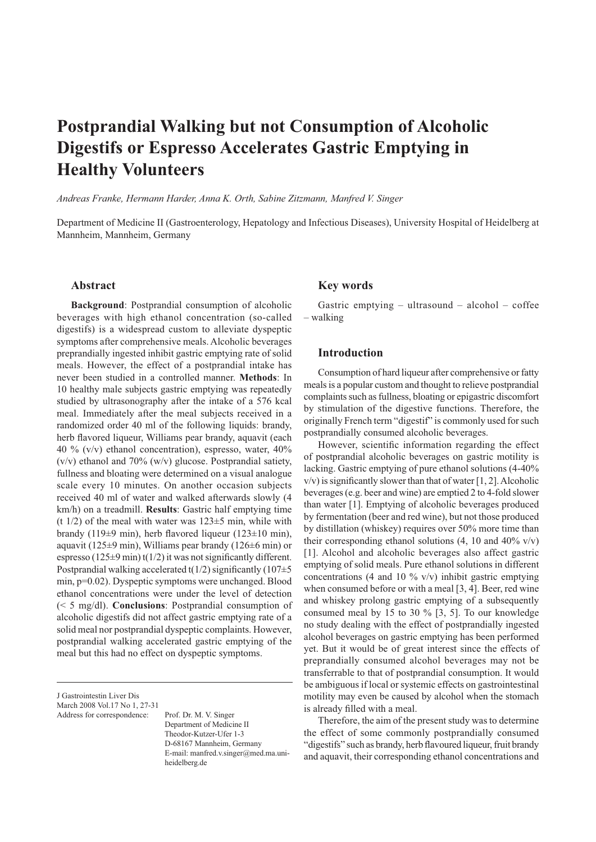# **Postprandial Walking but not Consumption of Alcoholic Digestifs or Espresso Accelerates Gastric Emptying in Healthy Volunteers**

*Andreas Franke, Hermann Harder, Anna K. Orth, Sabine Zitzmann, Manfred V. Singer*

Department of Medicine II (Gastroenterology, Hepatology and Infectious Diseases), University Hospital of Heidelberg at Mannheim, Mannheim, Germany

#### **Abstract**

**Background**: Postprandial consumption of alcoholic beverages with high ethanol concentration (so-called digestifs) is a widespread custom to alleviate dyspeptic symptoms after comprehensive meals. Alcoholic beverages preprandially ingested inhibit gastric emptying rate of solid meals. However, the effect of a postprandial intake has never been studied in a controlled manner. **Methods**: In 10 healthy male subjects gastric emptying was repeatedly studied by ultrasonography after the intake of a 576 kcal meal. Immediately after the meal subjects received in a randomized order 40 ml of the following liquids: brandy, herb flavored liqueur, Williams pear brandy, aquavit (each 40 % (v/v) ethanol concentration), espresso, water, 40%  $(v/v)$  ethanol and 70%  $(w/v)$  glucose. Postprandial satiety, fullness and bloating were determined on a visual analogue scale every 10 minutes. On another occasion subjects received 40 ml of water and walked afterwards slowly (4 km/h) on a treadmill. **Results**: Gastric half emptying time (t  $1/2$ ) of the meal with water was  $123±5$  min, while with brandy (119±9 min), herb flavored liqueur (123±10 min), aquavit (125±9 min), Williams pear brandy (126±6 min) or espresso (125 $\pm$ 9 min) t(1/2) it was not significantly different. Postprandial walking accelerated  $t(1/2)$  significantly (107 $\pm$ 5 min, p=0.02). Dyspeptic symptoms were unchanged. Blood ethanol concentrations were under the level of detection (< 5 mg/dl). **Conclusions**: Postprandial consumption of alcoholic digestifs did not affect gastric emptying rate of a solid meal nor postprandial dyspeptic complaints. However, postprandial walking accelerated gastric emptying of the meal but this had no effect on dyspeptic symptoms.

J Gastrointestin Liver Dis March 2008 Vol.17 No 1, 27-31

Address for correspondence: Prof. Dr. M. V. Singer Department of Medicine II Theodor-Kutzer-Ufer 1-3 D-68167 Mannheim, Germany E-mail: manfred.v.singer@med.ma.uni heidelberg.de

# **Key words**

Gastric emptying – ultrasound – alcohol – coffee – walking

## **Introduction**

Consumption of hard liqueur after comprehensive or fatty meals is a popular custom and thought to relieve postprandial complaints such as fullness, bloating or epigastric discomfort by stimulation of the digestive functions. Therefore, the originally French term "digestif" is commonly used for such postprandially consumed alcoholic beverages.

However, scientific information regarding the effect of postprandial alcoholic beverages on gastric motility is lacking. Gastric emptying of pure ethanol solutions (4-40%  $v/v$ ) is significantly slower than that of water [1, 2]. Alcoholic beverages (e.g. beer and wine) are emptied 2 to 4-fold slower than water [1]. Emptying of alcoholic beverages produced by fermentation (beer and red wine), but not those produced by distillation (whiskey) requires over 50% more time than their corresponding ethanol solutions  $(4, 10 \text{ and } 40\% \text{ v/v})$ [1]. Alcohol and alcoholic beverages also affect gastric emptying of solid meals. Pure ethanol solutions in different concentrations (4 and 10  $\%$  v/v) inhibit gastric emptying when consumed before or with a meal [3, 4]. Beer, red wine and whiskey prolong gastric emptying of a subsequently consumed meal by 15 to 30 % [3, 5]. To our knowledge no study dealing with the effect of postprandially ingested alcohol beverages on gastric emptying has been performed yet. But it would be of great interest since the effects of preprandially consumed alcohol beverages may not be transferrable to that of postprandial consumption. It would be ambiguous if local or systemic effects on gastrointestinal motility may even be caused by alcohol when the stomach is already filled with a meal.

Therefore, the aim of the present study was to determine the effect of some commonly postprandially consumed "digestifs" such as brandy, herb flavoured liqueur, fruit brandy and aquavit, their corresponding ethanol concentrations and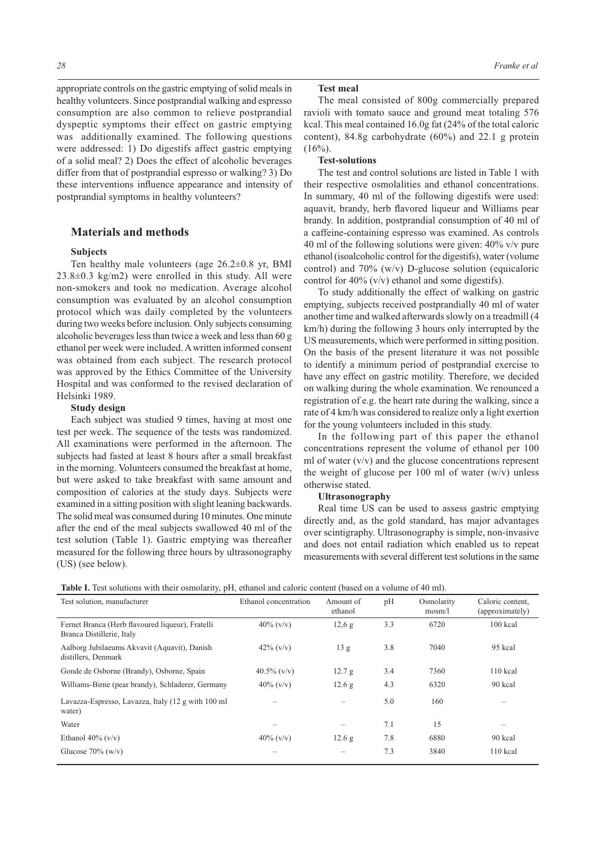appropriate controls on the gastric emptying of solid meals in healthy volunteers. Since postprandial walking and espresso consumption are also common to relieve postprandial dyspeptic symptoms their effect on gastric emptying was additionally examined. The following questions were addressed: 1) Do digestifs affect gastric emptying of a solid meal? 2) Does the effect of alcoholic beverages differ from that of postprandial espresso or walking? 3) Do these interventions influence appearance and intensity of postprandial symptoms in healthy volunteers?

# **Materials and methods**

#### **Subjects**

Ten healthy male volunteers (age 26.2±0.8 yr, BMI  $23.8\pm0.3$  kg/m2) were enrolled in this study. All were non-smokers and took no medication. Average alcohol consumption was evaluated by an alcohol consumption protocol which was daily completed by the volunteers during two weeks before inclusion. Only subjects consuming alcoholic beverages less than twice a week and less than 60 g ethanol per week were included. A written informed consent was obtained from each subject. The research protocol was approved by the Ethics Committee of the University Hospital and was conformed to the revised declaration of Helsinki 1989.

#### **Study design**

Each subject was studied 9 times, having at most one test per week. The sequence of the tests was randomized. All examinations were performed in the afternoon. The subjects had fasted at least 8 hours after a small breakfast in the morning. Volunteers consumed the breakfast at home, but were asked to take breakfast with same amount and composition of calories at the study days. Subjects were examined in a sitting position with slight leaning backwards. The solid meal was consumed during 10 minutes. One minute after the end of the meal subjects swallowed 40 ml of the test solution (Table 1). Gastric emptying was thereafter measured for the following three hours by ultrasonography (US) (see below).

#### **Test meal**

The meal consisted of 800g commercially prepared ravioli with tomato sauce and ground meat totaling 576 kcal. This meal contained 16.0g fat (24% of the total caloric content), 84.8g carbohydrate (60%) and 22.1 g protein  $(16\%)$ .

## **Test-solutions**

The test and control solutions are listed in Table 1 with their respective osmolalities and ethanol concentrations. In summary, 40 ml of the following digestifs were used: aquavit, brandy, herb flavored liqueur and Williams pear brandy. In addition, postprandial consumption of 40 ml of a caffeine-containing espresso was examined. As controls 40 ml of the following solutions were given: 40% v/v pure ethanol (isoalcoholic control for the digestifs), water (volume control) and 70% (w/v) D-glucose solution (equicaloric control for  $40\%$  (v/v) ethanol and some digestifs).

To study additionally the effect of walking on gastric emptying, subjects received postprandially 40 ml of water another time and walked afterwards slowly on a treadmill (4 km/h) during the following 3 hours only interrupted by the US measurements, which were performed in sitting position. On the basis of the present literature it was not possible to identify a minimum period of postprandial exercise to have any effect on gastric motility. Therefore, we decided on walking during the whole examination. We renounced a registration of e.g. the heart rate during the walking, since a rate of 4 km/h was considered to realize only a light exertion for the young volunteers included in this study.

In the following part of this paper the ethanol concentrations represent the volume of ethanol per 100 ml of water  $(v/v)$  and the glucose concentrations represent the weight of glucose per 100 ml of water  $(w/v)$  unless otherwise stated.

#### **Ultrasonography**

Real time US can be used to assess gastric emptying directly and, as the gold standard, has major advantages over scintigraphy. Ultrasonography is simple, non-invasive and does not entail radiation which enabled us to repeat measurements with several different test solutions in the same

| Table I. Test solutions with their osmolarity, pH, ethanol and caloric content (based on a volume of 40 ml). |  |  |  |
|--------------------------------------------------------------------------------------------------------------|--|--|--|
|--------------------------------------------------------------------------------------------------------------|--|--|--|

| Test solution, manufacturer                                                   | Ethanol concentration | Amount of<br>ethanol     | pH  | Osmolarity<br>$m \omega / 1$ | Caloric content,<br>(approximately) |  |
|-------------------------------------------------------------------------------|-----------------------|--------------------------|-----|------------------------------|-------------------------------------|--|
| Fernet Branca (Herb flavoured liqueur), Fratelli<br>Branca Distillerie, Italy | $40\%$ (v/v)          | 12.6 g                   | 3.3 | 6720                         | 100 kcal                            |  |
| Aalborg Jubilaeums Akvavit (Aquavit), Danish<br>distillers, Denmark           | $42\%$ (v/v)          | 13 <sub>g</sub>          | 3.8 | 7040                         | 95 kcal                             |  |
| Gonde de Osborne (Brandy), Osborne, Spain                                     | $40.5\%$ (v/v)        | 12.7 g                   | 3.4 | 7360                         | 110 kcal                            |  |
| Williams-Birne (pear brandy), Schladerer, Germany                             | $40\%$ (v/v)          | 12.6 g                   | 4.3 | 6320                         | 90 kcal                             |  |
| Lavazza-Espresso, Lavazza, Italy (12 g with 100 ml<br>water)                  |                       | $\overline{\phantom{0}}$ | 5.0 | 160                          |                                     |  |
| Water                                                                         |                       | -                        | 7.1 | 15                           |                                     |  |
| Ethanol $40\%$ (v/v)                                                          | $40\%$ (v/v)          | 12.6 <sub>g</sub>        | 7.8 | 6880                         | 90 kcal                             |  |
| Glucose $70\%$ (w/v)                                                          |                       |                          | 7.3 | 3840                         | $110$ kcal                          |  |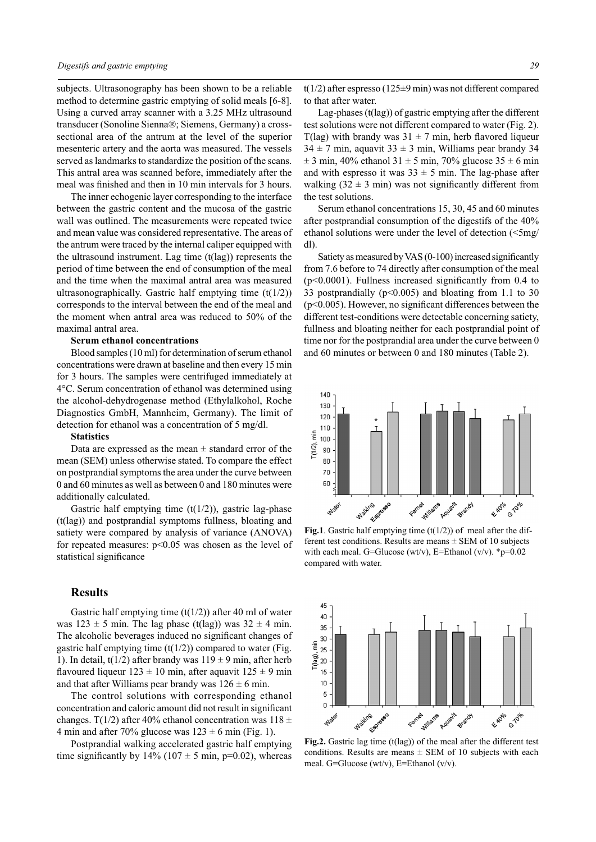subjects. Ultrasonography has been shown to be a reliable method to determine gastric emptying of solid meals [6-8]. Using a curved array scanner with a 3.25 MHz ultrasound transducer (Sonoline Sienna®; Siemens, Germany) a crosssectional area of the antrum at the level of the superior mesenteric artery and the aorta was measured. The vessels served as landmarks to standardize the position of the scans. This antral area was scanned before, immediately after the meal was finished and then in 10 min intervals for 3 hours.

The inner echogenic layer corresponding to the interface between the gastric content and the mucosa of the gastric wall was outlined. The measurements were repeated twice and mean value was considered representative. The areas of the antrum were traced by the internal caliper equipped with the ultrasound instrument. Lag time (t(lag)) represents the period of time between the end of consumption of the meal and the time when the maximal antral area was measured ultrasonographically. Gastric half emptying time  $(t(1/2))$ corresponds to the interval between the end of the meal and the moment when antral area was reduced to 50% of the maximal antral area.

# **Serum ethanol concentrations**

Blood samples (10 ml) for determination of serum ethanol concentrations were drawn at baseline and then every 15 min for 3 hours. The samples were centrifuged immediately at 4°C. Serum concentration of ethanol was determined using the alcohol-dehydrogenase method (Ethylalkohol, Roche Diagnostics GmbH, Mannheim, Germany). The limit of detection for ethanol was a concentration of 5 mg/dl.

#### **Statistics**

Data are expressed as the mean  $\pm$  standard error of the mean (SEM) unless otherwise stated. To compare the effect on postprandial symptoms the area under the curve between 0 and 60 minutes as well as between 0 and 180 minutes were additionally calculated.

Gastric half emptying time  $(t(1/2))$ , gastric lag-phase (t(lag)) and postprandial symptoms fullness, bloating and satiety were compared by analysis of variance (ANOVA) for repeated measures: p<0.05 was chosen as the level of statistical significance

## **Results**

Gastric half emptying time  $(t(1/2))$  after 40 ml of water was  $123 \pm 5$  min. The lag phase (t(lag)) was  $32 \pm 4$  min. The alcoholic beverages induced no significant changes of gastric half emptying time  $(t(1/2))$  compared to water (Fig. 1). In detail, t(1/2) after brandy was  $119 \pm 9$  min, after herb flavoured liqueur  $123 \pm 10$  min, after aquavit  $125 \pm 9$  min and that after Williams pear brandy was  $126 \pm 6$  min.

The control solutions with corresponding ethanol concentration and caloric amount did not result in significant changes. T(1/2) after 40% ethanol concentration was  $118 \pm$ 4 min and after 70% glucose was  $123 \pm 6$  min (Fig. 1).

Postprandial walking accelerated gastric half emptying time significantly by  $14\%$  ( $107 \pm 5$  min, p=0.02), whereas  $t(1/2)$  after espresso (125±9 min) was not different compared to that after water.

Lag-phases (t(lag)) of gastric emptying after the different test solutions were not different compared to water (Fig. 2). T(lag) with brandy was  $31 \pm 7$  min, herb flavored liqueur  $34 \pm 7$  min, aquavit  $33 \pm 3$  min, Williams pear brandy 34  $\pm$  3 min, 40% ethanol 31  $\pm$  5 min, 70% glucose 35  $\pm$  6 min and with espresso it was  $33 \pm 5$  min. The lag-phase after walking  $(32 \pm 3 \text{ min})$  was not significantly different from the test solutions.

Serum ethanol concentrations 15, 30, 45 and 60 minutes after postprandial consumption of the digestifs of the 40% ethanol solutions were under the level of detection (<5mg/ dl).

Satiety as measured by VAS (0-100) increased significantly from 7.6 before to 74 directly after consumption of the meal (p<0.0001). Fullness increased significantly from 0.4 to 33 postprandially ( $p<0.005$ ) and bloating from 1.1 to 30 (p<0.005). However, no significant differences between the different test-conditions were detectable concerning satiety, fullness and bloating neither for each postprandial point of time nor for the postprandial area under the curve between 0 and 60 minutes or between 0 and 180 minutes (Table 2).



**Fig.1**. Gastric half emptying time  $(t(1/2))$  of meal after the different test conditions. Results are means  $\pm$  SEM of 10 subjects with each meal. G=Glucose (wt/v), E=Ethanol (v/v).  $*_{p=0.02}$ compared with water.



**Fig.2.** Gastric lag time (t(lag)) of the meal after the different test conditions. Results are means  $\pm$  SEM of 10 subjects with each meal. G=Glucose (wt/v), E=Ethanol (v/v).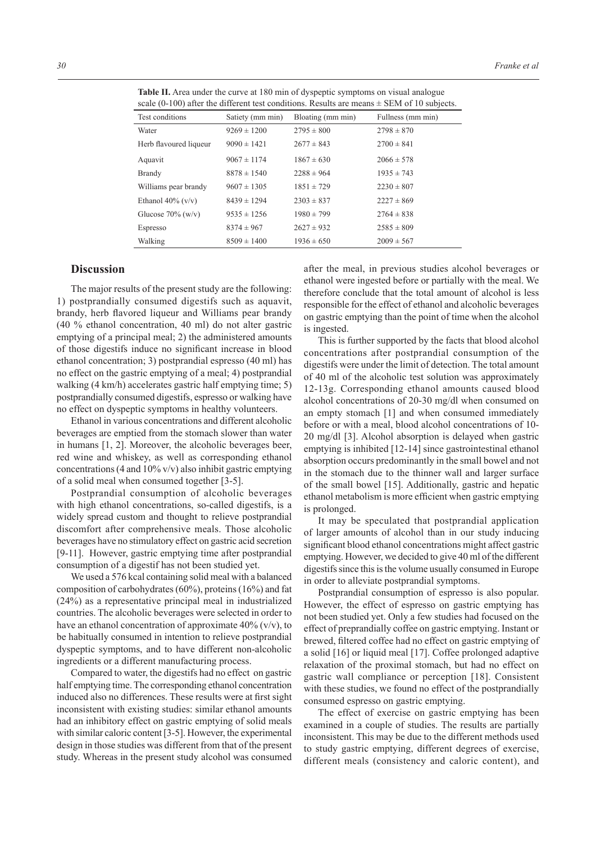| $\frac{1}{2}$ , $\frac{1}{2}$ , $\frac{1}{2}$ , $\frac{1}{2}$ , $\frac{1}{2}$ , $\frac{1}{2}$ , $\frac{1}{2}$ , $\frac{1}{2}$ , $\frac{1}{2}$ , $\frac{1}{2}$ , $\frac{1}{2}$ , $\frac{1}{2}$ , $\frac{1}{2}$ , $\frac{1}{2}$ , $\frac{1}{2}$ , $\frac{1}{2}$ , $\frac{1}{2}$ , $\frac{1}{2}$ , $\frac{1$ |                  |                   |                   |  |  |  |
|-----------------------------------------------------------------------------------------------------------------------------------------------------------------------------------------------------------------------------------------------------------------------------------------------------------|------------------|-------------------|-------------------|--|--|--|
| Test conditions                                                                                                                                                                                                                                                                                           | Satiety (mm min) | Bloating (mm min) | Fullness (mm min) |  |  |  |
| Water                                                                                                                                                                                                                                                                                                     | $9269 \pm 1200$  | $2795 \pm 800$    | $2798 \pm 870$    |  |  |  |
| Herb flavoured liqueur                                                                                                                                                                                                                                                                                    | $9090 \pm 1421$  | $2677 \pm 843$    | $2700 \pm 841$    |  |  |  |
| Aquavit                                                                                                                                                                                                                                                                                                   | $9067 \pm 1174$  | $1867 \pm 630$    | $2066 \pm 578$    |  |  |  |
| <b>Brandy</b>                                                                                                                                                                                                                                                                                             | $8878 \pm 1540$  | $2288 \pm 964$    | $1935 \pm 743$    |  |  |  |
| Williams pear brandy                                                                                                                                                                                                                                                                                      | $9607 \pm 1305$  | $1851 \pm 729$    | $2230 \pm 807$    |  |  |  |
| Ethanol $40\%$ (v/v)                                                                                                                                                                                                                                                                                      | $8439 \pm 1294$  | $2303 \pm 837$    | $2227 \pm 869$    |  |  |  |
| Glucose $70\%$ (w/v)                                                                                                                                                                                                                                                                                      | $9535 \pm 1256$  | $1980 \pm 799$    | $2764 \pm 838$    |  |  |  |
| Espresso                                                                                                                                                                                                                                                                                                  | $8374 \pm 967$   | $2627 \pm 932$    | $2585 \pm 809$    |  |  |  |
| Walking                                                                                                                                                                                                                                                                                                   | $8509 \pm 1400$  | $1936 \pm 650$    | $2009 \pm 567$    |  |  |  |

**Table II.** Area under the curve at 180 min of dyspeptic symptoms on visual analogue scale (0-100) after the different test conditions. Results are means  $\pm$  SEM of 10 subjects.

## **Discussion**

The major results of the present study are the following: 1) postprandially consumed digestifs such as aquavit, brandy, herb flavored liqueur and Williams pear brandy (40 % ethanol concentration, 40 ml) do not alter gastric emptying of a principal meal; 2) the administered amounts of those digestifs induce no significant increase in blood ethanol concentration; 3) postprandial espresso (40 ml) has no effect on the gastric emptying of a meal; 4) postprandial walking (4 km/h) accelerates gastric half emptying time; 5) postprandially consumed digestifs, espresso or walking have no effect on dyspeptic symptoms in healthy volunteers.

Ethanol in various concentrations and different alcoholic beverages are emptied from the stomach slower than water in humans [1, 2]. Moreover, the alcoholic beverages beer, red wine and whiskey, as well as corresponding ethanol concentrations (4 and 10% v/v) also inhibit gastric emptying of a solid meal when consumed together [3-5].

Postprandial consumption of alcoholic beverages with high ethanol concentrations, so-called digestifs, is a widely spread custom and thought to relieve postprandial discomfort after comprehensive meals. Those alcoholic beverages have no stimulatory effect on gastric acid secretion [9-11]. However, gastric emptying time after postprandial consumption of a digestif has not been studied yet.

We used a 576 kcal containing solid meal with a balanced composition of carbohydrates (60%), proteins (16%) and fat (24%) as a representative principal meal in industrialized countries. The alcoholic beverages were selected in order to have an ethanol concentration of approximate  $40\%$  (v/v), to be habitually consumed in intention to relieve postprandial dyspeptic symptoms, and to have different non-alcoholic ingredients or a different manufacturing process.

Compared to water, the digestifs had no effect on gastric half emptying time. The corresponding ethanol concentration induced also no differences. These results were at first sight inconsistent with existing studies: similar ethanol amounts had an inhibitory effect on gastric emptying of solid meals with similar caloric content [3-5]. However, the experimental design in those studies was different from that of the present study. Whereas in the present study alcohol was consumed

after the meal, in previous studies alcohol beverages or ethanol were ingested before or partially with the meal. We therefore conclude that the total amount of alcohol is less responsible for the effect of ethanol and alcoholic beverages on gastric emptying than the point of time when the alcohol is ingested.

This is further supported by the facts that blood alcohol concentrations after postprandial consumption of the digestifs were under the limit of detection. The total amount of 40 ml of the alcoholic test solution was approximately 12-13g. Corresponding ethanol amounts caused blood alcohol concentrations of 20-30 mg/dl when consumed on an empty stomach [1] and when consumed immediately before or with a meal, blood alcohol concentrations of 10- 20 mg/dl [3]. Alcohol absorption is delayed when gastric emptying is inhibited [12-14] since gastrointestinal ethanol absorption occurs predominantly in the small bowel and not in the stomach due to the thinner wall and larger surface of the small bowel [15]. Additionally, gastric and hepatic ethanol metabolism is more efficient when gastric emptying is prolonged.

It may be speculated that postprandial application of larger amounts of alcohol than in our study inducing significant blood ethanol concentrations might affect gastric emptying. However, we decided to give 40 ml of the different digestifs since this is the volume usually consumed in Europe in order to alleviate postprandial symptoms.

Postprandial consumption of espresso is also popular. However, the effect of espresso on gastric emptying has not been studied yet. Only a few studies had focused on the effect of preprandially coffee on gastric emptying. Instant or brewed, filtered coffee had no effect on gastric emptying of a solid [16] or liquid meal [17]. Coffee prolonged adaptive relaxation of the proximal stomach, but had no effect on gastric wall compliance or perception [18]. Consistent with these studies, we found no effect of the postprandially consumed espresso on gastric emptying.

The effect of exercise on gastric emptying has been examined in a couple of studies. The results are partially inconsistent. This may be due to the different methods used to study gastric emptying, different degrees of exercise, different meals (consistency and caloric content), and